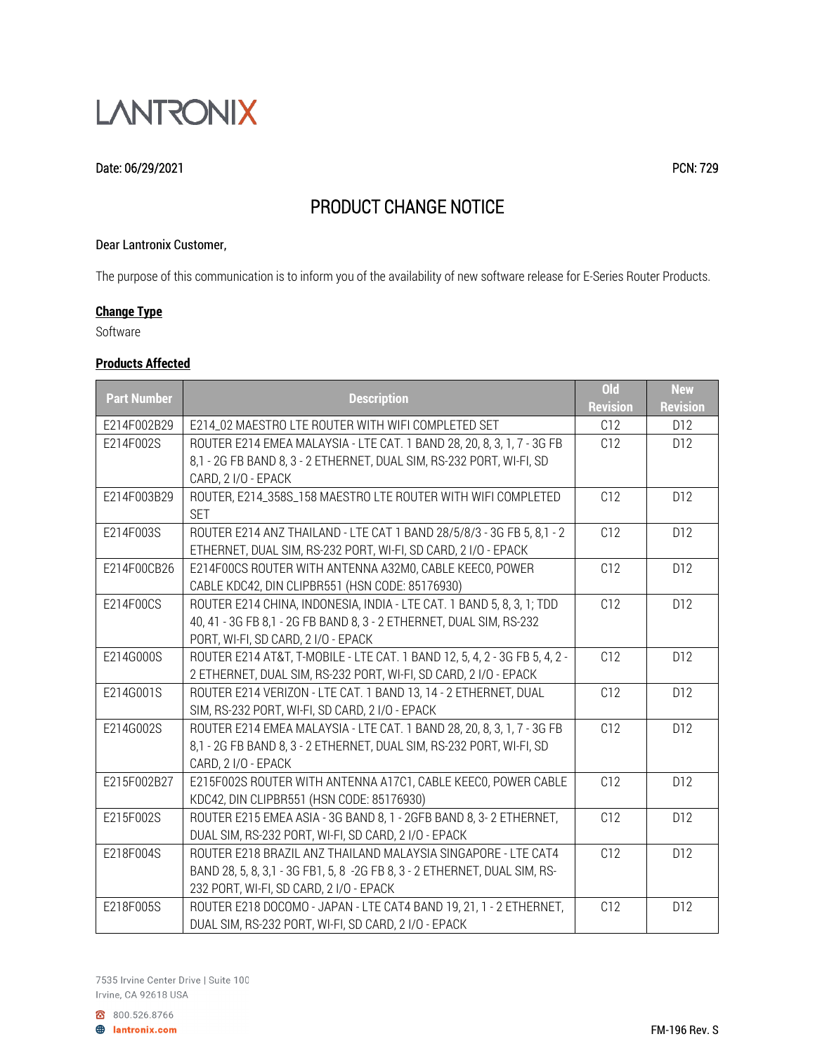

#### Date: 06/29/2021 PCN: 729

# PRODUCT CHANGE NOTICE

#### Dear Lantronix Customer,

The purpose of this communication is to inform you of the availability of new software release for E-Series Router Products.

## **Change Type**

Software

## **Products Affected**

|                    |                                                                             | $Q_{d}$         | <b>New</b>      |
|--------------------|-----------------------------------------------------------------------------|-----------------|-----------------|
| <b>Part Number</b> | <b>Description</b>                                                          | <b>Revision</b> | <b>Revision</b> |
| E214F002B29        | E214_02 MAESTRO LTE ROUTER WITH WIFI COMPLETED SET                          | C12             | D12             |
| E214F002S          | ROUTER E214 EMEA MALAYSIA - LTE CAT. 1 BAND 28, 20, 8, 3, 1, 7 - 3G FB      | C12             | D12             |
|                    | 8,1 - 2G FB BAND 8, 3 - 2 ETHERNET, DUAL SIM, RS-232 PORT, WI-FI, SD        |                 |                 |
|                    | CARD, 2 I/O - EPACK                                                         |                 |                 |
| E214F003B29        | ROUTER, E214_358S_158 MAESTRO LTE ROUTER WITH WIFI COMPLETED                | C12             | D12             |
|                    | <b>SET</b>                                                                  |                 |                 |
| E214F003S          | ROUTER E214 ANZ THAILAND - LTE CAT 1 BAND 28/5/8/3 - 3G FB 5, 8,1 - 2       | C <sub>12</sub> | D12             |
|                    | ETHERNET, DUAL SIM, RS-232 PORT, WI-FI, SD CARD, 2 I/O - EPACK              |                 |                 |
| E214F00CB26        | E214F00CS ROUTER WITH ANTENNA A32M0, CABLE KEECO, POWER                     | C12             | D12             |
|                    | CABLE KDC42, DIN CLIPBR551 (HSN CODE: 85176930)                             |                 |                 |
| E214F00CS          | ROUTER E214 CHINA, INDONESIA, INDIA - LTE CAT. 1 BAND 5, 8, 3, 1; TDD       | C12             | D12             |
|                    | 40, 41 - 3G FB 8,1 - 2G FB BAND 8, 3 - 2 ETHERNET, DUAL SIM, RS-232         |                 |                 |
|                    | PORT, WI-FI, SD CARD, 2 I/O - EPACK                                         |                 |                 |
| E214G000S          | ROUTER E214 AT&T, T-MOBILE - LTE CAT. 1 BAND 12, 5, 4, 2 - 3G FB 5, 4, 2 -  | C12             | D12             |
|                    | 2 ETHERNET, DUAL SIM, RS-232 PORT, WI-FI, SD CARD, 2 I/O - EPACK            |                 |                 |
| E214G001S          | ROUTER E214 VERIZON - LTE CAT. 1 BAND 13, 14 - 2 ETHERNET, DUAL             | C12             | D12             |
|                    | SIM, RS-232 PORT, WI-FI, SD CARD, 2 I/O - EPACK                             |                 |                 |
| E214G002S          | ROUTER E214 EMEA MALAYSIA - LTE CAT. 1 BAND 28, 20, 8, 3, 1, 7 - 3G FB      | C12             | D12             |
|                    | 8,1 - 2G FB BAND 8, 3 - 2 ETHERNET, DUAL SIM, RS-232 PORT, WI-FI, SD        |                 |                 |
|                    | CARD, 2 I/O - EPACK                                                         |                 |                 |
| E215F002B27        | E215F002S ROUTER WITH ANTENNA A17C1, CABLE KEECO, POWER CABLE               | C12             | D12             |
|                    | KDC42, DIN CLIPBR551 (HSN CODE: 85176930)                                   |                 |                 |
| E215F002S          | ROUTER E215 EMEA ASIA - 3G BAND 8, 1 - 2GFB BAND 8, 3-2 ETHERNET,           | C12             | D <sub>12</sub> |
|                    | DUAL SIM, RS-232 PORT, WI-FI, SD CARD, 2 I/O - EPACK                        |                 |                 |
| E218F004S          | ROUTER E218 BRAZIL ANZ THAILAND MALAYSIA SINGAPORE - LTE CAT4               | C12             | D12             |
|                    | BAND 28, 5, 8, 3, 1 - 3G FB1, 5, 8 - 2G FB 8, 3 - 2 ETHERNET, DUAL SIM, RS- |                 |                 |
|                    | 232 PORT, WI-FI, SD CARD, 2 I/O - EPACK                                     |                 |                 |
| E218F005S          | ROUTER E218 DOCOMO - JAPAN - LTE CAT4 BAND 19, 21, 1 - 2 ETHERNET,          | C12             | D12             |
|                    | DUAL SIM, RS-232 PORT, WI-FI, SD CARD, 2 I/O - EPACK                        |                 |                 |

800.526.8766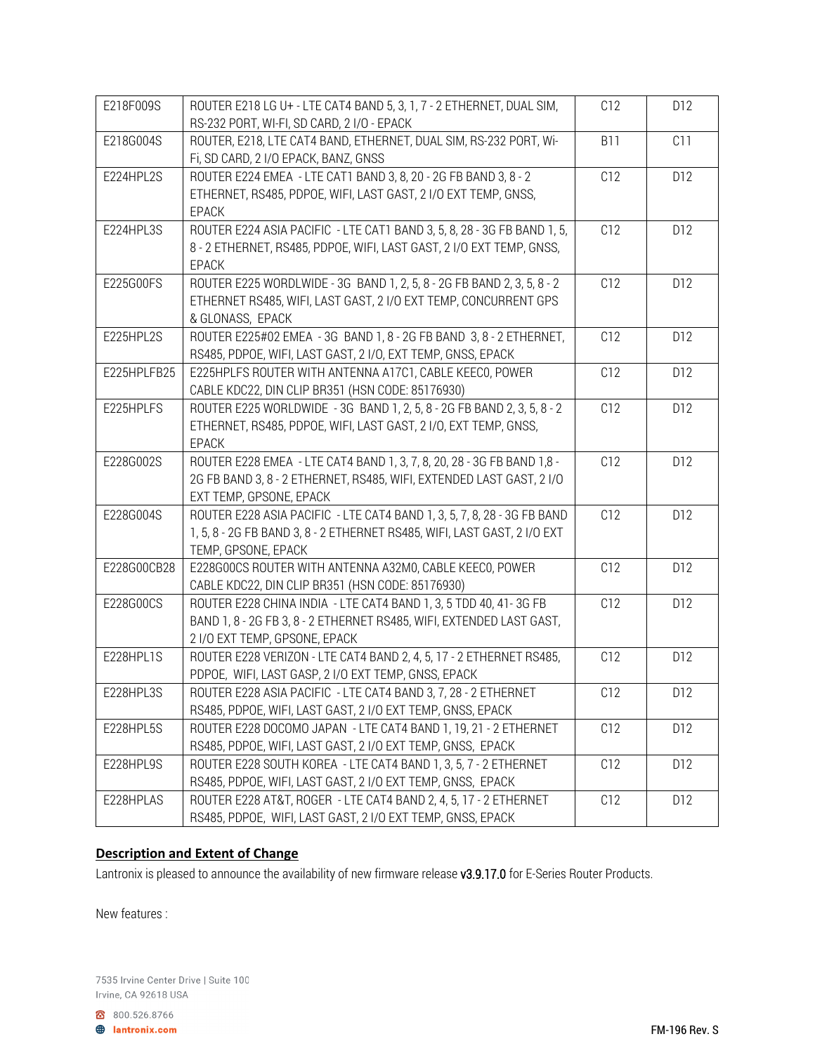| E218F009S   | ROUTER E218 LG U+ - LTE CAT4 BAND 5, 3, 1, 7 - 2 ETHERNET, DUAL SIM,<br>RS-232 PORT, WI-FI, SD CARD, 2 I/O - EPACK                                                         | C12             | D12 |
|-------------|----------------------------------------------------------------------------------------------------------------------------------------------------------------------------|-----------------|-----|
| E218G004S   | ROUTER, E218, LTE CAT4 BAND, ETHERNET, DUAL SIM, RS-232 PORT, Wi-<br>Fi, SD CARD, 2 I/O EPACK, BANZ, GNSS                                                                  | <b>B11</b>      | C11 |
| E224HPL2S   | ROUTER E224 EMEA - LTE CAT1 BAND 3, 8, 20 - 2G FB BAND 3, 8 - 2<br>ETHERNET, RS485, PDPOE, WIFI, LAST GAST, 2 I/O EXT TEMP, GNSS,<br><b>EPACK</b>                          | C12             | D12 |
| E224HPL3S   | ROUTER E224 ASIA PACIFIC - LTE CAT1 BAND 3, 5, 8, 28 - 3G FB BAND 1, 5,<br>8 - 2 ETHERNET, RS485, PDPOE, WIFI, LAST GAST, 2 I/O EXT TEMP, GNSS,<br><b>EPACK</b>            | C12             | D12 |
| E225G00FS   | ROUTER E225 WORDLWIDE - 3G BAND 1, 2, 5, 8 - 2G FB BAND 2, 3, 5, 8 - 2<br>ETHERNET RS485, WIFI, LAST GAST, 2 I/O EXT TEMP, CONCURRENT GPS<br>& GLONASS, EPACK              | C12             | D12 |
| E225HPL2S   | ROUTER E225#02 EMEA - 3G BAND 1, 8 - 2G FB BAND 3, 8 - 2 ETHERNET,<br>RS485, PDPOE, WIFI, LAST GAST, 2 I/O, EXT TEMP, GNSS, EPACK                                          | C <sub>12</sub> | D12 |
| E225HPLFB25 | E225HPLFS ROUTER WITH ANTENNA A17C1, CABLE KEECO, POWER<br>CABLE KDC22, DIN CLIP BR351 (HSN CODE: 85176930)                                                                | C12             | D12 |
| E225HPLFS   | ROUTER E225 WORLDWIDE - 3G BAND 1, 2, 5, 8 - 2G FB BAND 2, 3, 5, 8 - 2<br>ETHERNET, RS485, PDPOE, WIFI, LAST GAST, 2 I/O, EXT TEMP, GNSS,<br>EPACK                         | C12             | D12 |
| E228G002S   | ROUTER E228 EMEA - LTE CAT4 BAND 1, 3, 7, 8, 20, 28 - 3G FB BAND 1,8 -<br>2G FB BAND 3, 8 - 2 ETHERNET, RS485, WIFI, EXTENDED LAST GAST, 2 I/O<br>EXT TEMP, GPSONE, EPACK  | C12             | D12 |
| E228G004S   | ROUTER E228 ASIA PACIFIC - LTE CAT4 BAND 1, 3, 5, 7, 8, 28 - 3G FB BAND<br>1, 5, 8 - 2G FB BAND 3, 8 - 2 ETHERNET RS485, WIFI, LAST GAST, 2 I/O EXT<br>TEMP, GPSONE, EPACK | C12             | D12 |
| E228G00CB28 | E228G00CS ROUTER WITH ANTENNA A32M0, CABLE KEECO, POWER<br>CABLE KDC22, DIN CLIP BR351 (HSN CODE: 85176930)                                                                | C12             | D12 |
| E228G00CS   | ROUTER E228 CHINA INDIA - LTE CAT4 BAND 1, 3, 5 TDD 40, 41-3G FB<br>BAND 1, 8 - 2G FB 3, 8 - 2 ETHERNET RS485, WIFI, EXTENDED LAST GAST,<br>2 I/O EXT TEMP, GPSONE, EPACK  | C12             | D12 |
| E228HPL1S   | ROUTER E228 VERIZON - LTE CAT4 BAND 2, 4, 5, 17 - 2 ETHERNET RS485,<br>PDPOE, WIFI, LAST GASP, 2 I/O EXT TEMP, GNSS, EPACK                                                 | C12             | D12 |
| E228HPL3S   | ROUTER E228 ASIA PACIFIC - LTE CAT4 BAND 3, 7, 28 - 2 ETHERNET<br>RS485, PDPOE, WIFI, LAST GAST, 2 I/O EXT TEMP, GNSS, EPACK                                               | C12             | D12 |
| E228HPL5S   | ROUTER E228 DOCOMO JAPAN - LTE CAT4 BAND 1, 19, 21 - 2 ETHERNET<br>RS485, PDPOE, WIFI, LAST GAST, 2 I/O EXT TEMP, GNSS, EPACK                                              | C12             | D12 |
| E228HPL9S   | ROUTER E228 SOUTH KOREA - LTE CAT4 BAND 1, 3, 5, 7 - 2 ETHERNET<br>RS485, PDPOE, WIFI, LAST GAST, 2 I/O EXT TEMP, GNSS, EPACK                                              | C12             | D12 |
| E228HPLAS   | ROUTER E228 AT&T, ROGER - LTE CAT4 BAND 2, 4, 5, 17 - 2 ETHERNET<br>RS485, PDPOE, WIFI, LAST GAST, 2 I/O EXT TEMP, GNSS, EPACK                                             | C12             | D12 |

# **Description and Extent of Change**

Lantronix is pleased to announce the availability of new firmware release v3.9.17.0 for E-Series Router Products.

New features :

7535 Irvine Center Drive | Suite 100 Irvine, CA 92618 USA

800.526.8766

**A** lantronix.com